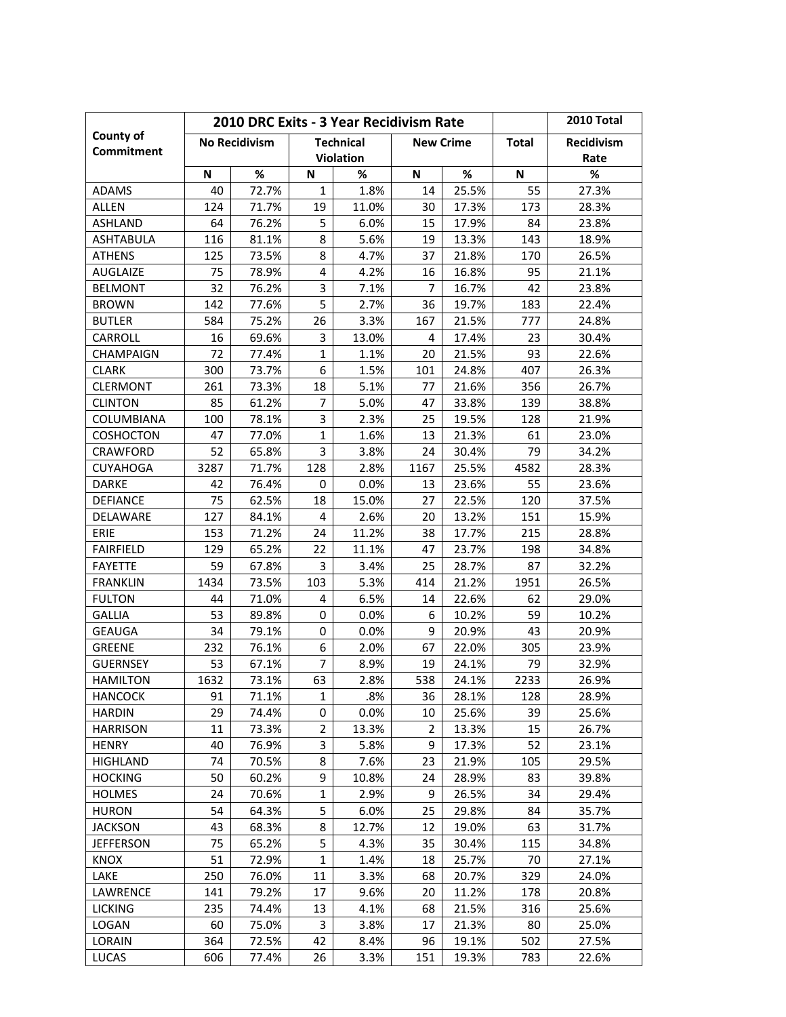|                                                       | 2010 DRC Exits - 3 Year Recidivism Rate |       |                  |       |                  |              |                   | 2010 Total |
|-------------------------------------------------------|-----------------------------------------|-------|------------------|-------|------------------|--------------|-------------------|------------|
| County of<br><b>Technical</b><br><b>No Recidivism</b> |                                         |       |                  |       | <b>New Crime</b> | <b>Total</b> | <b>Recidivism</b> |            |
| <b>Commitment</b>                                     |                                         |       | <b>Violation</b> |       |                  |              |                   | Rate       |
|                                                       | N                                       | $\%$  | N                | %     | N                | $\%$         | N                 | %          |
| <b>ADAMS</b>                                          | 40                                      | 72.7% | $\mathbf{1}$     | 1.8%  | 14               | 25.5%        | 55                | 27.3%      |
| <b>ALLEN</b>                                          | 124                                     | 71.7% | 19               | 11.0% | 30               | 17.3%        | 173               | 28.3%      |
| <b>ASHLAND</b>                                        | 64                                      | 76.2% | 5                | 6.0%  | 15               | 17.9%        | 84                | 23.8%      |
| <b>ASHTABULA</b>                                      | 116                                     | 81.1% | 8                | 5.6%  | 19               | 13.3%        | 143               | 18.9%      |
| <b>ATHENS</b>                                         | 125                                     | 73.5% | 8                | 4.7%  | 37               | 21.8%        | 170               | 26.5%      |
| <b>AUGLAIZE</b>                                       | 75                                      | 78.9% | 4                | 4.2%  | 16               | 16.8%        | 95                | 21.1%      |
| <b>BELMONT</b>                                        | 32                                      | 76.2% | 3                | 7.1%  | 7                | 16.7%        | 42                | 23.8%      |
| <b>BROWN</b>                                          | 142                                     | 77.6% | 5                | 2.7%  | 36               | 19.7%        | 183               | 22.4%      |
| <b>BUTLER</b>                                         | 584                                     | 75.2% | 26               | 3.3%  | 167              | 21.5%        | 777               | 24.8%      |
| CARROLL                                               | 16                                      | 69.6% | 3                | 13.0% | 4                | 17.4%        | 23                | 30.4%      |
| <b>CHAMPAIGN</b>                                      | 72                                      | 77.4% | $\mathbf{1}$     | 1.1%  | 20               | 21.5%        | 93                | 22.6%      |
| <b>CLARK</b>                                          | 300                                     | 73.7% | 6                | 1.5%  | 101              | 24.8%        | 407               | 26.3%      |
| <b>CLERMONT</b>                                       | 261                                     | 73.3% | 18               | 5.1%  | 77               | 21.6%        | 356               | 26.7%      |
| <b>CLINTON</b>                                        | 85                                      | 61.2% | 7                | 5.0%  | 47               | 33.8%        | 139               | 38.8%      |
| COLUMBIANA                                            | 100                                     | 78.1% | 3                | 2.3%  | 25               | 19.5%        | 128               | 21.9%      |
| COSHOCTON                                             | 47                                      | 77.0% | $\mathbf{1}$     | 1.6%  | 13               | 21.3%        | 61                | 23.0%      |
| <b>CRAWFORD</b>                                       | 52                                      | 65.8% | 3                | 3.8%  | 24               | 30.4%        | 79                | 34.2%      |
| <b>CUYAHOGA</b>                                       | 3287                                    | 71.7% | 128              | 2.8%  | 1167             | 25.5%        | 4582              | 28.3%      |
| <b>DARKE</b>                                          | 42                                      | 76.4% | 0                | 0.0%  | 13               | 23.6%        | 55                | 23.6%      |
| <b>DEFIANCE</b>                                       | 75                                      | 62.5% | 18               | 15.0% | 27               | 22.5%        | 120               | 37.5%      |
| DELAWARE                                              | 127                                     | 84.1% | 4                | 2.6%  | 20               | 13.2%        | 151               | 15.9%      |
| ERIE                                                  | 153                                     | 71.2% | 24               | 11.2% | 38               | 17.7%        | 215               | 28.8%      |
| <b>FAIRFIELD</b>                                      | 129                                     | 65.2% | 22               | 11.1% | 47               | 23.7%        | 198               | 34.8%      |
| <b>FAYETTE</b>                                        | 59                                      | 67.8% | 3                | 3.4%  | 25               | 28.7%        | 87                | 32.2%      |
| <b>FRANKLIN</b>                                       | 1434                                    | 73.5% | 103              | 5.3%  | 414              | 21.2%        | 1951              | 26.5%      |
| <b>FULTON</b>                                         | 44                                      | 71.0% | 4                | 6.5%  | 14               | 22.6%        | 62                | 29.0%      |
| <b>GALLIA</b>                                         | 53                                      | 89.8% | 0                | 0.0%  | 6                | 10.2%        | 59                | 10.2%      |
| <b>GEAUGA</b>                                         | 34                                      | 79.1% | 0                | 0.0%  | 9                | 20.9%        | 43                | 20.9%      |
| <b>GREENE</b>                                         | 232                                     | 76.1% | 6                | 2.0%  | 67               | 22.0%        | 305               | 23.9%      |
| <b>GUERNSEY</b>                                       | 53                                      | 67.1% | $\overline{7}$   | 8.9%  | 19               | 24.1%        | 79                | 32.9%      |
| <b>HAMILTON</b>                                       | 1632                                    | 73.1% | 63               | 2.8%  | 538              | 24.1%        | 2233              | 26.9%      |
| <b>HANCOCK</b>                                        | 91                                      | 71.1% | 1                | .8%   | 36               | 28.1%        | 128               | 28.9%      |
| <b>HARDIN</b>                                         | 29                                      | 74.4% | 0                | 0.0%  | 10               | 25.6%        | 39                | 25.6%      |
| <b>HARRISON</b>                                       | 11                                      | 73.3% | 2                | 13.3% | 2                | 13.3%        | 15                | 26.7%      |
| <b>HENRY</b>                                          | 40                                      | 76.9% | 3                | 5.8%  | 9                | 17.3%        | 52                | 23.1%      |
| <b>HIGHLAND</b>                                       | 74                                      | 70.5% | 8                | 7.6%  | 23               | 21.9%        | 105               | 29.5%      |
| <b>HOCKING</b>                                        | 50                                      | 60.2% | 9                | 10.8% | 24               | 28.9%        | 83                | 39.8%      |
| <b>HOLMES</b>                                         | 24                                      | 70.6% | 1                | 2.9%  | 9                | 26.5%        | 34                | 29.4%      |
| <b>HURON</b>                                          | 54                                      | 64.3% | 5                | 6.0%  | 25               | 29.8%        | 84                | 35.7%      |
| <b>JACKSON</b>                                        | 43                                      | 68.3% | 8                | 12.7% | 12               | 19.0%        | 63                | 31.7%      |
| <b>JEFFERSON</b>                                      | 75                                      | 65.2% | 5                | 4.3%  | 35               | 30.4%        | 115               | 34.8%      |
| <b>KNOX</b>                                           | 51                                      | 72.9% | $\mathbf 1$      | 1.4%  | 18               | 25.7%        | 70                | 27.1%      |
| LAKE                                                  | 250                                     | 76.0% | 11               | 3.3%  | 68               | 20.7%        | 329               | 24.0%      |
| LAWRENCE                                              | 141                                     | 79.2% | 17               | 9.6%  | 20               | 11.2%        | 178               | 20.8%      |
| <b>LICKING</b>                                        | 235                                     | 74.4% | 13               | 4.1%  | 68               | 21.5%        | 316               | 25.6%      |
| LOGAN                                                 | 60                                      | 75.0% | 3                | 3.8%  | 17               | 21.3%        | 80                | 25.0%      |
| LORAIN                                                | 364                                     | 72.5% | 42               | 8.4%  | 96               | 19.1%        | 502               | 27.5%      |
| <b>LUCAS</b>                                          | 606                                     | 77.4% | 26               | 3.3%  | 151              | 19.3%        | 783               | 22.6%      |